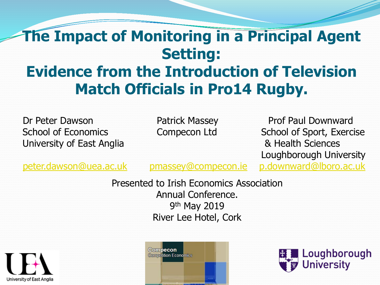#### **The Impact of Monitoring in a Principal Agent Setting: Evidence from the Introduction of Television Match Officials in Pro14 Rugby.**

Dr Peter Dawson **Patrick Massey Prof Paul Downward** University of East Anglia **Branch Sciences 8. Health Sciences** 

School of Economics Compecon Ltd School of Sport, Exercise Loughborough University

[peter.dawson@uea.ac.uk](mailto:peter.dawson@uea.ac.uk) [pmassey@compecon.ie](mailto:pmassey@compecon.ie) [p.downward@lboro.ac.uk](mailto:p.downward@lboro.ac.uk)

Presented to Irish Economics Association Annual Conference. 9th May 2019 River Lee Hotel, Cork





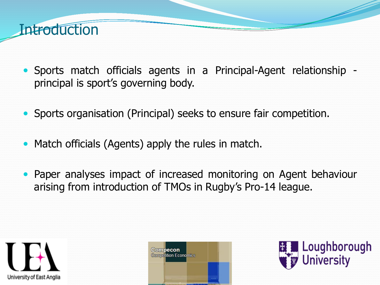

- Sports match officials agents in a Principal-Agent relationship principal is sport's governing body.
- Sports organisation (Principal) seeks to ensure fair competition.
- Match officials (Agents) apply the rules in match.
- Paper analyses impact of increased monitoring on Agent behaviour arising from introduction of TMOs in Rugby's Pro-14 league.





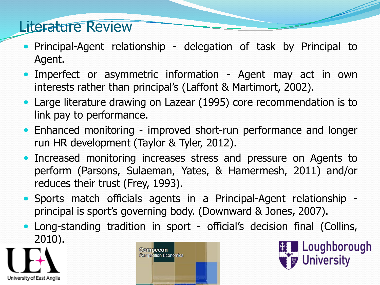#### Literature Review

- Principal-Agent relationship delegation of task by Principal to Agent.
- Imperfect or asymmetric information Agent may act in own interests rather than principal's (Laffont & Martimort, 2002).
- Large literature drawing on Lazear (1995) core recommendation is to link pay to performance.
- Enhanced monitoring improved short-run performance and longer run HR development (Taylor & Tyler, 2012).
- Increased monitoring increases stress and pressure on Agents to perform (Parsons, Sulaeman, Yates, & Hamermesh, 2011) and/or reduces their trust (Frey, 1993).
- Sports match officials agents in a Principal-Agent relationship principal is sport's governing body. (Downward & Jones, 2007).
- Long-standing tradition in sport official's decision final (Collins, 2010).





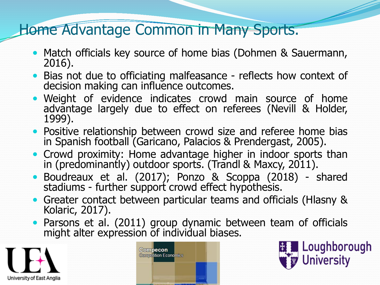#### Home Advantage Common in Many Sports.

- Match officials key source of home bias (Dohmen & Sauermann, 2016).
- Bias not due to officiating malfeasance reflects how context of decision making can influence outcomes.
- Weight of evidence indicates crowd main source of home advantage largely due to effect on referees (Nevill & Holder, 1999).
- Positive relationship between crowd size and referee home bias in Spanish football (Garicano, Palacios & Prendergast, 2005).
- Crowd proximity: Home advantage higher in indoor sports than in (predominantly) outdoor sports. (Trandl & Maxcy, 2011).
- Boudreaux et al. (2017); Ponzo & Scoppa (2018) shared stadiums - further support crowd effect hypothesis.
- Greater contact between particular teams and officials (Hlasny & Kolaric, 2017).
- Parsons et al. (2011) group dynamic between team of officials might alter expression of individual biases.





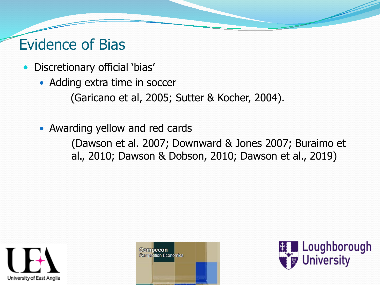## Evidence of Bias

- Discretionary official 'bias'
	- Adding extra time in soccer

(Garicano et al, 2005; Sutter & Kocher, 2004).

Awarding yellow and red cards

(Dawson et al. 2007; Downward & Jones 2007; Buraimo et al., 2010; Dawson & Dobson, 2010; Dawson et al., 2019)





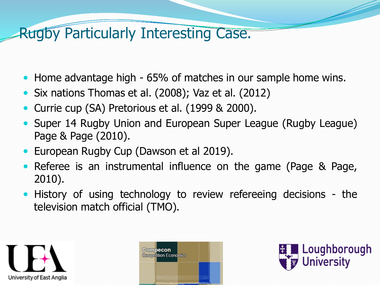## Rugby Particularly Interesting Case.

- Home advantage high 65% of matches in our sample home wins.
- Six nations Thomas et al. (2008); Vaz et al. (2012)
- Currie cup (SA) Pretorious et al. (1999 & 2000).
- Super 14 Rugby Union and European Super League (Rugby League) Page & Page (2010).
- European Rugby Cup (Dawson et al 2019).
- Referee is an instrumental influence on the game (Page & Page, 2010).
- History of using technology to review refereeing decisions the television match official (TMO).





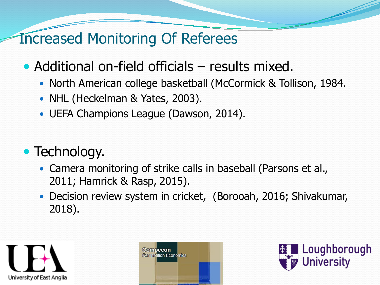#### Increased Monitoring Of Referees

- Additional on-field officials results mixed.
	- North American college basketball (McCormick & Tollison, 1984.
	- NHL (Heckelman & Yates, 2003).
	- UEFA Champions League (Dawson, 2014).

## • Technology.

- Camera monitoring of strike calls in baseball (Parsons et al., 2011; Hamrick & Rasp, 2015).
- Decision review system in cricket, (Borooah, 2016; Shivakumar, 2018).





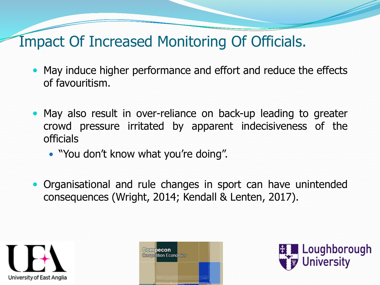## Impact Of Increased Monitoring Of Officials.

- May induce higher performance and effort and reduce the effects of favouritism.
- May also result in over-reliance on back-up leading to greater crowd pressure irritated by apparent indecisiveness of the officials
	- "You don't know what you're doing".
- Organisational and rule changes in sport can have unintended consequences (Wright, 2014; Kendall & Lenten, 2017).





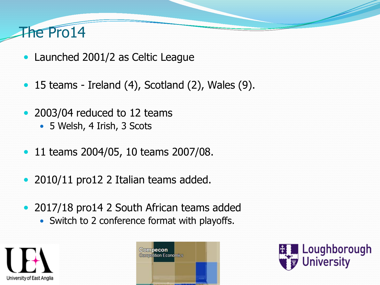## The Pro14

- Launched 2001/2 as Celtic League
- $\bullet$  15 teams Ireland (4), Scotland (2), Wales (9).
- 2003/04 reduced to 12 teams
	- 5 Welsh, 4 Irish, 3 Scots
- 11 teams 2004/05, 10 teams 2007/08.
- 2010/11 pro12 2 Italian teams added.
- 2017/18 pro14 2 South African teams added
	- Switch to 2 conference format with playoffs.





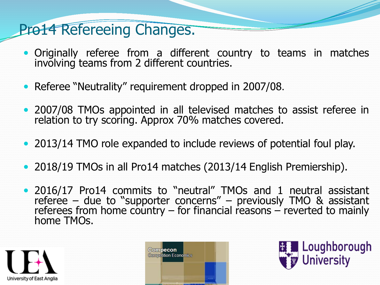## Pro14 Refereeing Changes.

- Originally referee from a different country to teams in matches involving teams from 2 different countries.
- Referee "Neutrality" requirement dropped in 2007/08.
- 2007/08 TMOs appointed in all televised matches to assist referee in relation to try scoring. Approx 70% matches covered.
- 2013/14 TMO role expanded to include reviews of potential foul play.
- 2018/19 TMOs in all Pro14 matches (2013/14 English Premiership).
- 2016/17 Pro14 commits to "neutral" TMOs and 1 neutral assistant referee – due to "supporter concerns" – previously TMO & assistant referees from home country – for financial reasons – reverted to mainly<br>home TMOs.





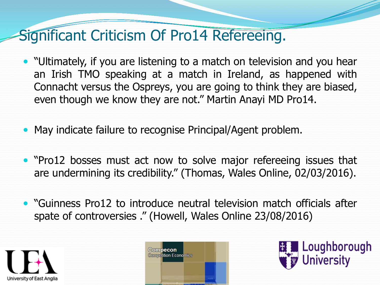## Significant Criticism Of Pro14 Refereeing.

- "Ultimately, if you are listening to a match on television and you hear an Irish TMO speaking at a match in Ireland, as happened with Connacht versus the Ospreys, you are going to think they are biased, even though we know they are not." Martin Anayi MD Pro14.
- May indicate failure to recognise Principal/Agent problem.
- "Pro12 bosses must act now to solve major refereeing issues that are undermining its credibility." (Thomas, Wales Online, 02/03/2016).
- "Guinness Pro12 to introduce neutral television match officials after spate of controversies ." (Howell, Wales Online 23/08/2016)





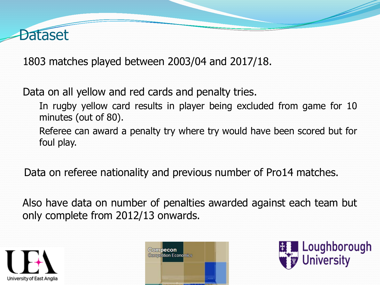

1803 matches played between 2003/04 and 2017/18.

Data on all yellow and red cards and penalty tries.

In rugby yellow card results in player being excluded from game for 10 minutes (out of 80).

Referee can award a penalty try where try would have been scored but for foul play.

Data on referee nationality and previous number of Pro14 matches.

Also have data on number of penalties awarded against each team but only complete from 2012/13 onwards.





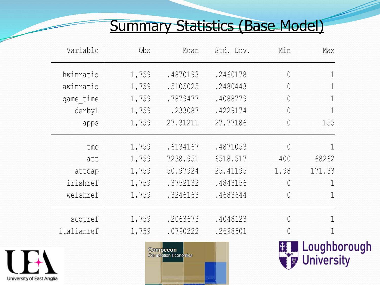## Summary Statistics (Base Model)

| Variable   | 0bs   | Mean     | Std. Dev. | Min            | Max                      |
|------------|-------|----------|-----------|----------------|--------------------------|
| hwinratio  | 1,759 | .4870193 | .2460178  | $\overline{0}$ | $\mathbf{1}$             |
| awinratio  | 1,759 | .5105025 | .2480443  | $\theta$       |                          |
| game time  | 1,759 | .7879477 | .4088779  | $\overline{0}$ | $\overline{\phantom{a}}$ |
| derby1     | 1,759 | .233087  | .4229174  | $\overline{0}$ |                          |
| apps       | 1,759 | 27.31211 | 27.77186  | $\theta$       | 155                      |
| tmo        | 1,759 | .6134167 | .4871053  | 0              |                          |
| att        | 1,759 | 7238.951 | 6518.517  | 400            | 68262                    |
| attcap     | 1,759 | 50.97924 | 25.41195  | 1.98           | 171.33                   |
| irishref   | 1,759 | .3752132 | .4843156  | $\overline{0}$ |                          |
| welshref   | 1,759 | .3246163 | .4683644  | 0              |                          |
| scotref    | 1,759 | .2063673 | .4048123  | $\theta$       |                          |
| italianref | 1,759 | .0790222 | .2698501  | 0              |                          |





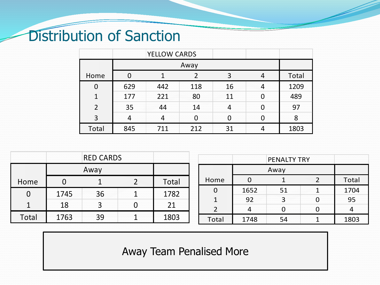## Distribution of Sanction

|       |     | YELLOW CARDS |     |    |  |       |
|-------|-----|--------------|-----|----|--|-------|
|       |     |              |     |    |  |       |
| Home  |     |              |     |    |  | Total |
|       | 629 | 442          | 118 | 16 |  | 1209  |
|       | 177 | 221          | 80  |    |  | 489   |
|       | 35  |              |     |    |  | 97    |
|       |     |              |     |    |  |       |
| Total | 845 |              | 212 |    |  | 1803  |

|                |      | <b>RED CARDS</b> |       |                          |      | <b>PENALTY TRY</b> |   |       |
|----------------|------|------------------|-------|--------------------------|------|--------------------|---|-------|
|                |      | Away             |       |                          |      | Away               |   |       |
| Home           |      |                  | Total | Home                     | 0    |                    |   | Total |
| $\overline{0}$ | 1745 | 36               | 1782  | $\Omega$                 | 1652 | 51                 |   | 1704  |
|                |      |                  |       | $\mathbf{1}$             | 92   |                    | U | 95    |
|                | 18   |                  | 21    | $\overline{\phantom{0}}$ | 4    |                    |   | 4     |
| Total          | 1763 | 39               | 1803  | Total                    | 1748 | 54                 |   | 1803  |

Away Team Penalised More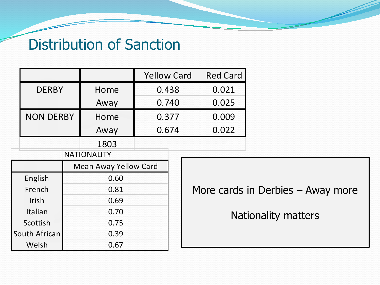#### Distribution of Sanction

|                  |                    |                              | <b>Yellow Card</b> |  |           | <b>Red Card</b><br>0.021 |  |
|------------------|--------------------|------------------------------|--------------------|--|-----------|--------------------------|--|
| <b>DERBY</b>     |                    | Home                         | 0.438              |  |           |                          |  |
|                  |                    | Away                         | 0.740              |  | 0.025     |                          |  |
| <b>NON DERBY</b> |                    | Home                         | 0.377              |  | 0.009     |                          |  |
|                  |                    | Away                         | 0.674              |  |           | 0.022                    |  |
|                  |                    | 1803                         |                    |  |           |                          |  |
|                  | <b>NATIONALITY</b> |                              |                    |  |           |                          |  |
|                  |                    | <b>Mean Away Yellow Card</b> |                    |  |           |                          |  |
| English          |                    | 0.60                         |                    |  |           |                          |  |
| French           |                    | 0.81                         |                    |  |           | More cards               |  |
| <b>Irish</b>     | 0.69               |                              |                    |  |           |                          |  |
| Italian<br>0.70  |                    |                              |                    |  | <b>Na</b> |                          |  |
| Scottish         | 0.75               |                              |                    |  |           |                          |  |
| South African    |                    | 0.39                         |                    |  |           |                          |  |
| Welsh<br>0.67    |                    |                              |                    |  |           |                          |  |

rds in Derbies – Away more

Nationality matters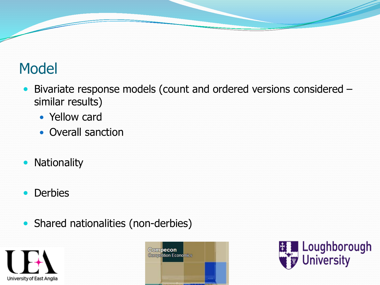## Model

- Bivariate response models (count and ordered versions considered similar results)
	- Yellow card
	- Overall sanction
- Nationality
- Derbies
- Shared nationalities (non-derbies)





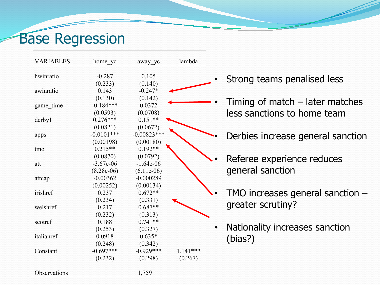# Base Regression

| <b>VARIABLES</b> | home yc                               | away yc                                 | lambda     |                                                                  |
|------------------|---------------------------------------|-----------------------------------------|------------|------------------------------------------------------------------|
| hwinratio        | $-0.287$<br>(0.233)                   | 0.105<br>(0.140)                        |            | Strong teams penalised less                                      |
| awinratio        | 0.143                                 | $-0.247*$                               |            |                                                                  |
| game_time        | (0.130)<br>$-0.184***$<br>(0.0593)    | (0.142)<br>0.0372<br>(0.0708)           |            | Timing of match $-$ later matches<br>less sanctions to home team |
| derby1           | $0.276***$                            | $0.151**$                               |            |                                                                  |
| apps             | (0.0821)<br>$-0.0101***$<br>(0.00198) | (0.0672)<br>$-0.00823$ ***<br>(0.00180) |            | Derbies increase general sanction                                |
| tmo              | $0.215**$<br>(0.0870)                 | $0.192**$<br>(0.0792)                   |            |                                                                  |
| att              | $-3.67e-06$<br>$(8.28e-06)$           | $-1.64e-06$<br>$(6.11e-06)$             |            | Referee experience reduces<br>general sanction                   |
| attcap           | $-0.00362$                            | $-0.000289$                             |            |                                                                  |
|                  | (0.00252)                             | (0.00134)                               |            |                                                                  |
| irishref         | 0.237                                 | $0.672**$                               |            | TMO increases general sanction $-$                               |
| welshref         | (0.234)<br>0.217<br>(0.232)           | (0.331)<br>$0.687**$<br>(0.313)         |            | greater scrutiny?                                                |
| scotref          | 0.188                                 | $0.741**$                               |            |                                                                  |
| italianref       | (0.253)<br>0.0918<br>(0.248)          | (0.327)<br>$0.635*$<br>(0.342)          |            | Nationality increases sanction<br>(bias?)                        |
| Constant         | $-0.697***$                           | $-0.929***$                             | $1.141***$ |                                                                  |
|                  | (0.232)                               | (0.298)                                 | (0.267)    |                                                                  |
| Observations     |                                       | 1,759                                   |            |                                                                  |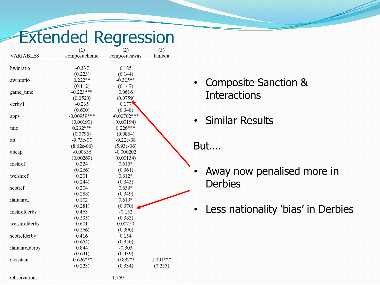# Extended Regression

|                  | (1)           | (2)           | (3)      |
|------------------|---------------|---------------|----------|
| <b>VARIABLES</b> | compositehome | compositeaway | lambda   |
|                  |               |               |          |
| hwinratio        | $-0.337$      | 0.185         |          |
|                  | (0.223)       | (0.144)       |          |
| awinratio        | $0.222**$     | $-0.305**$    |          |
|                  | (0.112)       | (0.147)       |          |
| game time        | $-0.223***$   | 0.0616        |          |
|                  | (0.0520)      | (0.0759)      |          |
| derby 1          | $-0.235$      | 0.177         |          |
|                  | (0.600)       | (0.348)       |          |
| apps             | $-0.00959***$ | $-0.00702***$ |          |
|                  | (0.00190)     | (0.00194)     |          |
| tmo              | $0.232***$    | $0.226***$    |          |
|                  | (0.0796)      | (0.0864)      |          |
| att              | $-9.73e-07$   | $-9.22e-08$   |          |
|                  | $(8.62e-06)$  | $(5.93e-06)$  |          |
| attcap           | $-0.00336$    | $-0.000202$   |          |
|                  | (0.00269)     | (0.00134)     |          |
| irishref         | 0.224         | $0.615*$      |          |
|                  | (0.266)       | (0.361)       |          |
| welshref         | 0.201         | $0.612*$      |          |
|                  | (0.244)       | (0.343)       |          |
| scotref          | 0.204         | $0.639*$      |          |
|                  | (0.288)       | (0.349)       |          |
| italianref       | 0.102         | $0.619*$      |          |
|                  | (0.281)       | (0.370)       |          |
| irishrefderby    | 0.463         | $-0.152$      |          |
|                  | (0.595)       | (0.383)       |          |
| welshrefderby    | 0.601         | 0.00750       |          |
|                  | (0.566)       | (0.390)       |          |
| scotrefderby     | 0.416         | 0.154         |          |
|                  | (0.654)       | (0.350)       |          |
| italianrefderby  | 0.844         | $-0.303$      |          |
|                  | (0.641)       | (0.439)       |          |
| Constant         | $-0.626***$   | $-0.837**$    | 1.001*** |
|                  | (0.223)       | (0.334)       | (0.255)  |
|                  |               |               |          |
| Observations     |               | 1,759         |          |

- Composite Sanction & **Interactions**
- Similar Results

#### But….

- Away now penalised more in **Derbies**
- Less nationality 'bias' in Derbies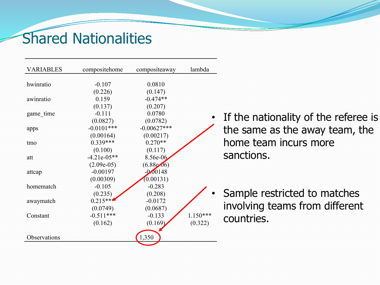#### Shared Nationalities

| <b>VARIABLES</b> | compositehome | compositeaway     | lambda     |      |
|------------------|---------------|-------------------|------------|------|
|                  |               |                   |            |      |
| hwinratio        | $-0.107$      | 0.0810            |            |      |
|                  | (0.226)       | (0.147)           |            |      |
| awinratio        | 0.159         | $-0.474**$        |            |      |
|                  | (0.137)       | (0.207)           |            |      |
| game_time        | $-0.111$      | 0.0780            | $\bullet$  |      |
|                  | (0.0827)      | (0.0782)          |            | If t |
| apps             | $-0.0101***$  | $-0.00627***$     |            | the  |
|                  | (0.00164)     | (0.00217)         |            |      |
| tmo              | $0.339***$    | $0.270**$         |            | hoi  |
|                  | (0.100)       | (0.117)           |            |      |
| att              | $-4.21e-05**$ | 8.56e-06          |            | sar  |
|                  | $(2.09e-05)$  | $(6.88 \cdot 06)$ |            |      |
| attcap           | $-0.00197$    | $-0.00148$        |            |      |
|                  | (0.00309)     | (0.00131)         |            |      |
| homematch        | $-0.105$      | $-0.283$          |            |      |
|                  | (0.235)       | (0.208)           |            | Sai  |
| awaymatch        | $0.215***$    | $-0.0172$         |            |      |
|                  | (0.0749)      | (0.0687)          |            | inv  |
| Constant         | $-0.511***$   | $-0.133$          | $1.150***$ |      |
|                  | (0.162)       | (0.169)           | (0.322)    | COL  |
|                  |               |                   |            |      |
| Observations     |               | 1,350             |            |      |
|                  |               |                   |            |      |

the nationality of the referee is e same as the away team, the me team incurs more nctions.

mple restricted to matches rolving teams from different untries.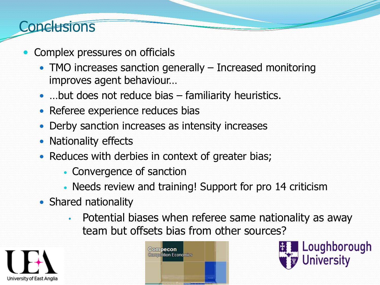#### **Conclusions**

- Complex pressures on officials
	- TMO increases sanction generally Increased monitoring improves agent behaviour…
	- ... but does not reduce bias familiarity heuristics.
	- Referee experience reduces bias
	- Derby sanction increases as intensity increases
	- Nationality effects
	- Reduces with derbies in context of greater bias;
		- Convergence of sanction
		- Needs review and training! Support for pro 14 criticism
	- Shared nationality
		- Potential biases when referee same nationality as away team but offsets bias from other sources?





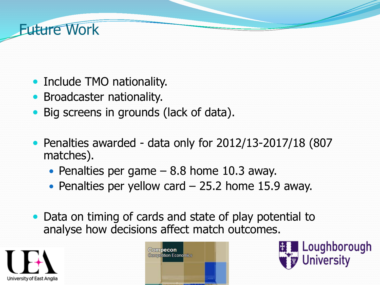## **Future Work**

- Include TMO nationality.
- **Broadcaster nationality.**
- Big screens in grounds (lack of data).
- Penalties awarded data only for 2012/13-2017/18 (807) matches).
	- Penalties per game  $-8.8$  home 10.3 away.
	- Penalties per yellow card  $-$  25.2 home 15.9 away.
- Data on timing of cards and state of play potential to analyse how decisions affect match outcomes.